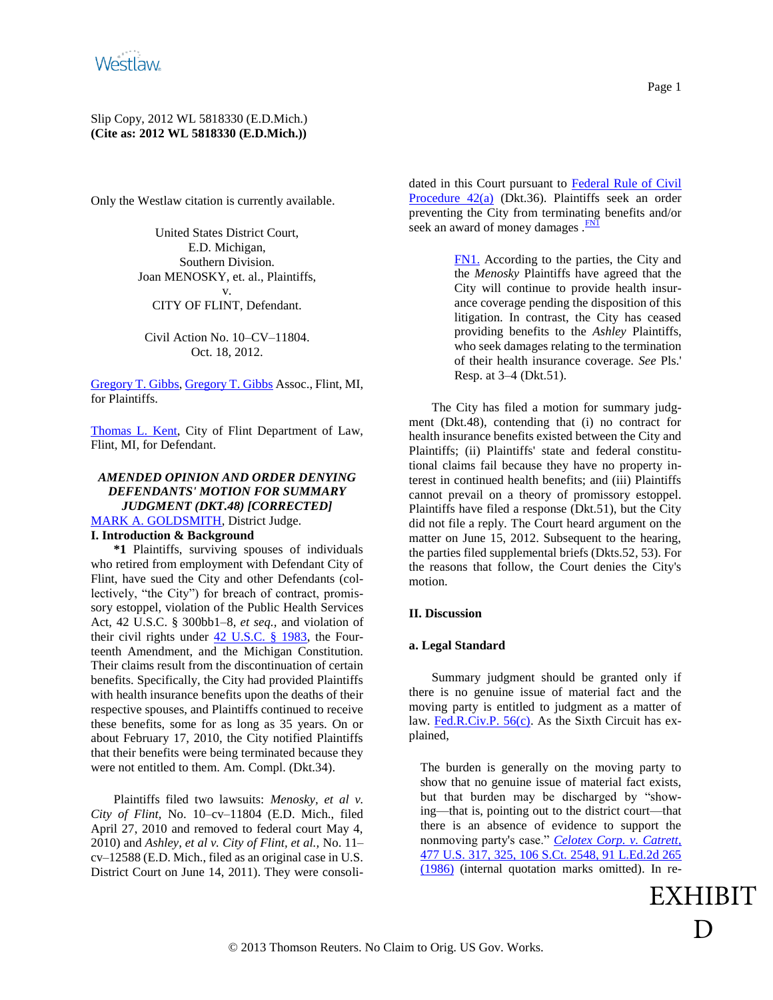Only the Westlaw citation is currently available.

United States District Court, E.D. Michigan, Southern Division. Joan MENOSKY, et. al., Plaintiffs, v. CITY OF FLINT, Defendant.

Civil Action No. 10–CV–11804. Oct. 18, 2012.

[Gregory T. Gibbs, Gregory T. Gibbs A](http://www.westlaw.com/Find/Default.wl?rs=dfa1.0&vr=2.0&DB=PROFILER-WLD&DocName=0282648701&FindType=h)ssoc., Flint, MI, for Plaintiffs.

[Thomas L. Kent,](http://www.westlaw.com/Find/Default.wl?rs=dfa1.0&vr=2.0&DB=PROFILER-WLD&DocName=0344636401&FindType=h) City of Flint Department of Law, Flint, MI, for Defendant.

# *AMENDED OPINION AND ORDER DENYING DEFENDANTS' MOTION FOR SUMMARY JUDGMENT (DKT.48) [CORRECTED]* [MARK A. GOLDSMITH,](http://www.westlaw.com/Find/Default.wl?rs=dfa1.0&vr=2.0&DB=PROFILER-WLD&DocName=0222458301&FindType=h) District Judge.

# **I. Introduction & Background**

**\*1** Plaintiffs, surviving spouses of individuals who retired from employment with Defendant City of Flint, have sued the City and other Defendants (collectively, "the City") for breach of contract, promissory estoppel, violation of the Public Health Services Act, 42 U.S.C. § 300bb1–8, *et seq.,* and violation of their civil rights under [42 U.S.C. § 1983,](http://www.westlaw.com/Find/Default.wl?rs=dfa1.0&vr=2.0&DB=1000546&DocName=42USCAS1983&FindType=L) the Fourteenth Amendment, and the Michigan Constitution. Their claims result from the discontinuation of certain benefits. Specifically, the City had provided Plaintiffs with health insurance benefits upon the deaths of their respective spouses, and Plaintiffs continued to receive these benefits, some for as long as 35 years. On or about February 17, 2010, the City notified Plaintiffs that their benefits were being terminated because they were not entitled to them. Am. Compl. (Dkt.34).

Plaintiffs filed two lawsuits: *Menosky, et al v. City of Flint,* No. 10–cv–11804 (E.D. Mich., filed April 27, 2010 and removed to federal court May 4, 2010) and *Ashley, et al v. City of Flint, et al.,* No. 11– cv–12588 (E.D. Mich., filed as an original case in U.S. District Court on June 14, 2011). They were consolidated in this Court pursuant to [Federal Rule of Civil](http://www.westlaw.com/Find/Default.wl?rs=dfa1.0&vr=2.0&DB=1004365&DocName=USFRCPR42&FindType=L)  [Procedure 42\(a\)](http://www.westlaw.com/Find/Default.wl?rs=dfa1.0&vr=2.0&DB=1004365&DocName=USFRCPR42&FindType=L) (Dkt.36). Plaintiffs seek an order preventing the City from terminating benefits and/or seek an award of money damages . **[FN1](#page-0-0)** 

> <span id="page-0-1"></span><span id="page-0-0"></span>[FN1.](#page-0-1) According to the parties, the City and the *Menosky* Plaintiffs have agreed that the City will continue to provide health insurance coverage pending the disposition of this litigation. In contrast, the City has ceased providing benefits to the *Ashley* Plaintiffs, who seek damages relating to the termination of their health insurance coverage. *See* Pls.' Resp. at 3–4 (Dkt.51).

The City has filed a motion for summary judgment (Dkt.48), contending that (i) no contract for health insurance benefits existed between the City and Plaintiffs; (ii) Plaintiffs' state and federal constitutional claims fail because they have no property interest in continued health benefits; and (iii) Plaintiffs cannot prevail on a theory of promissory estoppel. Plaintiffs have filed a response (Dkt.51), but the City did not file a reply. The Court heard argument on the matter on June 15, 2012. Subsequent to the hearing, the parties filed supplemental briefs (Dkts.52, 53). For the reasons that follow, the Court denies the City's motion.

## **II. Discussion**

## **a. Legal Standard**

Summary judgment should be granted only if there is no genuine issue of material fact and the moving party is entitled to judgment as a matter of law. [Fed.R.Civ.P. 56\(c\).](http://www.westlaw.com/Find/Default.wl?rs=dfa1.0&vr=2.0&DB=1004365&DocName=USFRCPR56&FindType=L) As the Sixth Circuit has explained,

The burden is generally on the moving party to show that no genuine issue of material fact exists, but that burden may be discharged by "showing—that is, pointing out to the district court—that there is an absence of evidence to support the nonmoving party's case." *[Celotex Corp. v. Catrett,](http://www.westlaw.com/Find/Default.wl?rs=dfa1.0&vr=2.0&DB=708&FindType=Y&SerialNum=1986132677)* [477 U.S. 317, 325, 106 S.Ct. 2548, 91 L.Ed.2d 265](http://www.westlaw.com/Find/Default.wl?rs=dfa1.0&vr=2.0&DB=708&FindType=Y&SerialNum=1986132677)  [\(1986\)](http://www.westlaw.com/Find/Default.wl?rs=dfa1.0&vr=2.0&DB=708&FindType=Y&SerialNum=1986132677) (internal quotation marks omitted). In re-

EXHIBIT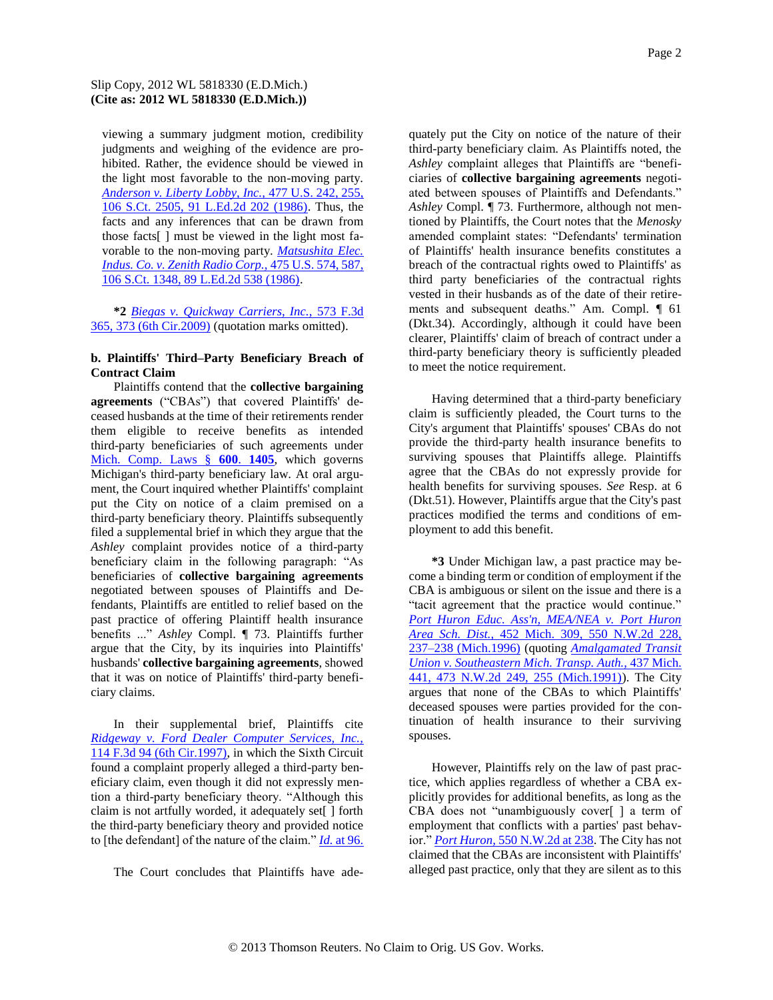viewing a summary judgment motion, credibility judgments and weighing of the evidence are prohibited. Rather, the evidence should be viewed in the light most favorable to the non-moving party. *[Anderson v. Liberty Lobby, Inc.,](http://www.westlaw.com/Find/Default.wl?rs=dfa1.0&vr=2.0&DB=708&FindType=Y&SerialNum=1986132674)* [477 U.S. 242, 255,](http://www.westlaw.com/Find/Default.wl?rs=dfa1.0&vr=2.0&DB=708&FindType=Y&SerialNum=1986132674)  [106 S.Ct. 2505, 91 L.Ed.2d 202 \(1986\).](http://www.westlaw.com/Find/Default.wl?rs=dfa1.0&vr=2.0&DB=708&FindType=Y&SerialNum=1986132674) Thus, the facts and any inferences that can be drawn from those facts[ ] must be viewed in the light most favorable to the non-moving party. *[Matsushita Elec.](http://www.westlaw.com/Find/Default.wl?rs=dfa1.0&vr=2.0&DB=708&FindType=Y&SerialNum=1986115992)  [Indus. Co. v. Zenith Radio Corp.,](http://www.westlaw.com/Find/Default.wl?rs=dfa1.0&vr=2.0&DB=708&FindType=Y&SerialNum=1986115992)* [475 U.S. 574, 587,](http://www.westlaw.com/Find/Default.wl?rs=dfa1.0&vr=2.0&DB=708&FindType=Y&SerialNum=1986115992)  [106 S.Ct. 1348, 89 L.Ed.2d 538 \(1986\).](http://www.westlaw.com/Find/Default.wl?rs=dfa1.0&vr=2.0&DB=708&FindType=Y&SerialNum=1986115992)

**\*2** *[Biegas v. Quickway Carriers, Inc.,](http://www.westlaw.com/Find/Default.wl?rs=dfa1.0&vr=2.0&DB=506&FindType=Y&ReferencePositionType=S&SerialNum=2019448354&ReferencePosition=373)* [573 F.3d](http://www.westlaw.com/Find/Default.wl?rs=dfa1.0&vr=2.0&DB=506&FindType=Y&ReferencePositionType=S&SerialNum=2019448354&ReferencePosition=373) [365, 373 \(6th Cir.2009\)](http://www.westlaw.com/Find/Default.wl?rs=dfa1.0&vr=2.0&DB=506&FindType=Y&ReferencePositionType=S&SerialNum=2019448354&ReferencePosition=373) (quotation marks omitted).

# **b. Plaintiffs' Third–Party Beneficiary Breach of Contract Claim**

Plaintiffs contend that the **collective bargaining agreements** ("CBAs") that covered Plaintiffs' deceased husbands at the time of their retirements render them eligible to receive benefits as intended third-party beneficiaries of such agreements under [Mich. Comp. Laws §](http://www.westlaw.com/Find/Default.wl?rs=dfa1.0&vr=2.0&DB=1000043&DocName=MIST600.1405&FindType=L) **[600](http://www.westlaw.com/Find/Default.wl?rs=dfa1.0&vr=2.0&DB=1000043&DocName=MIST600.1405&FindType=L)**[.](http://www.westlaw.com/Find/Default.wl?rs=dfa1.0&vr=2.0&DB=1000043&DocName=MIST600.1405&FindType=L) **[1405](http://www.westlaw.com/Find/Default.wl?rs=dfa1.0&vr=2.0&DB=1000043&DocName=MIST600.1405&FindType=L)**, which governs Michigan's third-party beneficiary law. At oral argument, the Court inquired whether Plaintiffs' complaint put the City on notice of a claim premised on a third-party beneficiary theory. Plaintiffs subsequently filed a supplemental brief in which they argue that the *Ashley* complaint provides notice of a third-party beneficiary claim in the following paragraph: "As beneficiaries of **collective bargaining agreements** negotiated between spouses of Plaintiffs and Defendants, Plaintiffs are entitled to relief based on the past practice of offering Plaintiff health insurance benefits ..." *Ashley* Compl. ¶ 73. Plaintiffs further argue that the City, by its inquiries into Plaintiffs' husbands' **collective bargaining agreements**, showed that it was on notice of Plaintiffs' third-party beneficiary claims.

In their supplemental brief, Plaintiffs cite *[Ridgeway v. Ford Dealer Computer Services, Inc.,](http://www.westlaw.com/Find/Default.wl?rs=dfa1.0&vr=2.0&DB=506&FindType=Y&SerialNum=1997116766)* [114 F.3d 94 \(6th Cir.1997\),](http://www.westlaw.com/Find/Default.wl?rs=dfa1.0&vr=2.0&DB=506&FindType=Y&SerialNum=1997116766) in which the Sixth Circuit found a complaint properly alleged a third-party beneficiary claim, even though it did not expressly mention a third-party beneficiary theory. "Although this claim is not artfully worded, it adequately set[ ] forth the third-party beneficiary theory and provided notice to [the defendant] of the nature of the claim." *[Id.](http://www.westlaw.com/Find/Default.wl?rs=dfa1.0&vr=2.0&FindType=Y&SerialNum=1997116766)* [at 96.](http://www.westlaw.com/Find/Default.wl?rs=dfa1.0&vr=2.0&FindType=Y&SerialNum=1997116766)

The Court concludes that Plaintiffs have ade-

quately put the City on notice of the nature of their third-party beneficiary claim. As Plaintiffs noted, the *Ashley* complaint alleges that Plaintiffs are "beneficiaries of **collective bargaining agreements** negotiated between spouses of Plaintiffs and Defendants." *Ashley* Compl. ¶ 73. Furthermore, although not mentioned by Plaintiffs, the Court notes that the *Menosky* amended complaint states: "Defendants' termination of Plaintiffs' health insurance benefits constitutes a breach of the contractual rights owed to Plaintiffs' as third party beneficiaries of the contractual rights vested in their husbands as of the date of their retirements and subsequent deaths." Am. Compl. ¶ 61 (Dkt.34). Accordingly, although it could have been clearer, Plaintiffs' claim of breach of contract under a third-party beneficiary theory is sufficiently pleaded to meet the notice requirement.

Having determined that a third-party beneficiary claim is sufficiently pleaded, the Court turns to the City's argument that Plaintiffs' spouses' CBAs do not provide the third-party health insurance benefits to surviving spouses that Plaintiffs allege. Plaintiffs agree that the CBAs do not expressly provide for health benefits for surviving spouses. *See* Resp. at 6 (Dkt.51). However, Plaintiffs argue that the City's past practices modified the terms and conditions of employment to add this benefit.

**\*3** Under Michigan law, a past practice may become a binding term or condition of employment if the CBA is ambiguous or silent on the issue and there is a "tacit agreement that the practice would continue." *[Port Huron Educ. Ass'n, MEA/NEA v. Port Huron](http://www.westlaw.com/Find/Default.wl?rs=dfa1.0&vr=2.0&DB=595&FindType=Y&ReferencePositionType=S&SerialNum=1996161161&ReferencePosition=237)  [Area Sch. Dist.,](http://www.westlaw.com/Find/Default.wl?rs=dfa1.0&vr=2.0&DB=595&FindType=Y&ReferencePositionType=S&SerialNum=1996161161&ReferencePosition=237)* [452 Mich. 309, 550 N.W.2d 228,](http://www.westlaw.com/Find/Default.wl?rs=dfa1.0&vr=2.0&DB=595&FindType=Y&ReferencePositionType=S&SerialNum=1996161161&ReferencePosition=237)  [237–238 \(Mich.1996\)](http://www.westlaw.com/Find/Default.wl?rs=dfa1.0&vr=2.0&DB=595&FindType=Y&ReferencePositionType=S&SerialNum=1996161161&ReferencePosition=237) (quoting *[Amalgamated Transit](http://www.westlaw.com/Find/Default.wl?rs=dfa1.0&vr=2.0&DB=595&FindType=Y&ReferencePositionType=S&SerialNum=1991150222&ReferencePosition=255)  [Union v. Southeastern Mich. Transp. Auth.,](http://www.westlaw.com/Find/Default.wl?rs=dfa1.0&vr=2.0&DB=595&FindType=Y&ReferencePositionType=S&SerialNum=1991150222&ReferencePosition=255)* [437 Mich.](http://www.westlaw.com/Find/Default.wl?rs=dfa1.0&vr=2.0&DB=595&FindType=Y&ReferencePositionType=S&SerialNum=1991150222&ReferencePosition=255)  [441, 473 N.W.2d 249, 255 \(Mich.1991\)\)](http://www.westlaw.com/Find/Default.wl?rs=dfa1.0&vr=2.0&DB=595&FindType=Y&ReferencePositionType=S&SerialNum=1991150222&ReferencePosition=255). The City argues that none of the CBAs to which Plaintiffs' deceased spouses were parties provided for the continuation of health insurance to their surviving spouses.

However, Plaintiffs rely on the law of past practice, which applies regardless of whether a CBA explicitly provides for additional benefits, as long as the CBA does not "unambiguously cover[ ] a term of employment that conflicts with a parties' past behavior." *[Port Huron,](http://www.westlaw.com/Find/Default.wl?rs=dfa1.0&vr=2.0&DB=595&FindType=Y&ReferencePositionType=S&SerialNum=1996161161&ReferencePosition=238)* [550 N.W.2d at 238.](http://www.westlaw.com/Find/Default.wl?rs=dfa1.0&vr=2.0&DB=595&FindType=Y&ReferencePositionType=S&SerialNum=1996161161&ReferencePosition=238) The City has not claimed that the CBAs are inconsistent with Plaintiffs' alleged past practice, only that they are silent as to this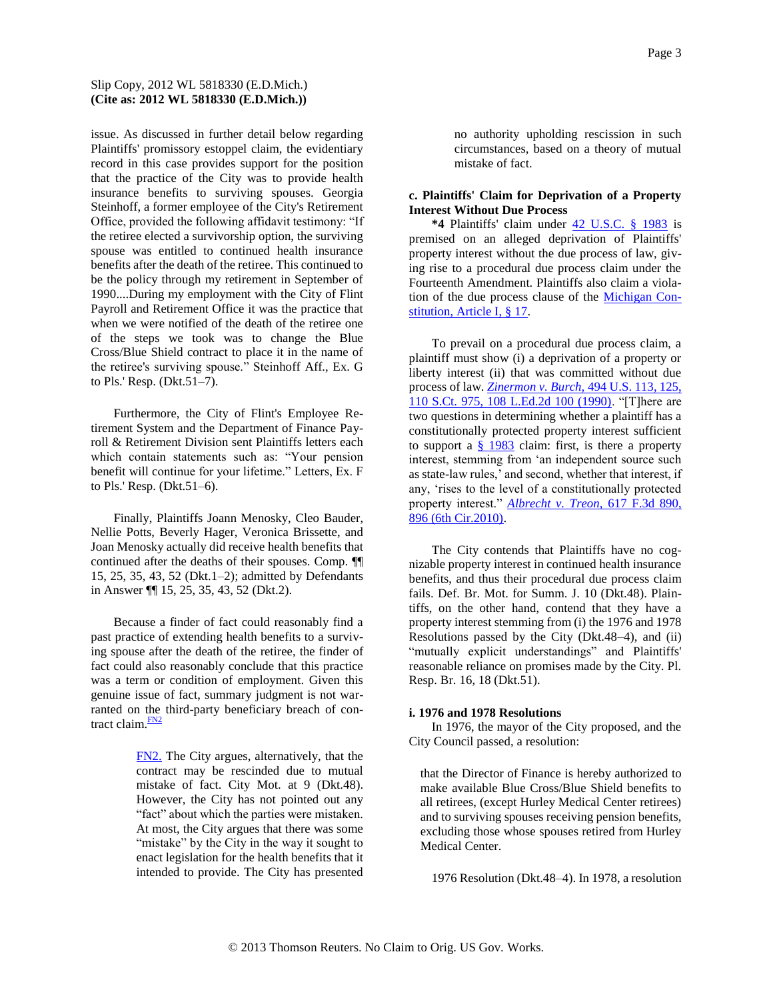issue. As discussed in further detail below regarding Plaintiffs' promissory estoppel claim, the evidentiary record in this case provides support for the position that the practice of the City was to provide health insurance benefits to surviving spouses. Georgia Steinhoff, a former employee of the City's Retirement Office, provided the following affidavit testimony: "If the retiree elected a survivorship option, the surviving spouse was entitled to continued health insurance benefits after the death of the retiree. This continued to be the policy through my retirement in September of 1990....During my employment with the City of Flint Payroll and Retirement Office it was the practice that when we were notified of the death of the retiree one of the steps we took was to change the Blue Cross/Blue Shield contract to place it in the name of the retiree's surviving spouse." Steinhoff Aff., Ex. G to Pls.' Resp. (Dkt.51–7).

Furthermore, the City of Flint's Employee Retirement System and the Department of Finance Payroll & Retirement Division sent Plaintiffs letters each which contain statements such as: "Your pension benefit will continue for your lifetime." Letters, Ex. F to Pls.' Resp. (Dkt.51–6).

Finally, Plaintiffs Joann Menosky, Cleo Bauder, Nellie Potts, Beverly Hager, Veronica Brissette, and Joan Menosky actually did receive health benefits that continued after the deaths of their spouses. Comp. ¶¶ 15, 25, 35, 43, 52 (Dkt.1–2); admitted by Defendants in Answer ¶¶ 15, 25, 35, 43, 52 (Dkt.2).

Because a finder of fact could reasonably find a past practice of extending health benefits to a surviving spouse after the death of the retiree, the finder of fact could also reasonably conclude that this practice was a term or condition of employment. Given this genuine issue of fact, summary judgment is not warranted on the third-party beneficiary breach of contract claim. $\frac{FN2}{FN2}$  $\frac{FN2}{FN2}$  $\frac{FN2}{FN2}$ 

> <span id="page-2-1"></span><span id="page-2-0"></span>[FN2.](#page-2-1) The City argues, alternatively, that the contract may be rescinded due to mutual mistake of fact. City Mot. at 9 (Dkt.48). However, the City has not pointed out any "fact" about which the parties were mistaken. At most, the City argues that there was some "mistake" by the City in the way it sought to enact legislation for the health benefits that it intended to provide. The City has presented

no authority upholding rescission in such circumstances, based on a theory of mutual mistake of fact.

## **c. Plaintiffs' Claim for Deprivation of a Property Interest Without Due Process**

**\*4** Plaintiffs' claim under [42 U.S.C. § 1983](http://www.westlaw.com/Find/Default.wl?rs=dfa1.0&vr=2.0&DB=1000546&DocName=42USCAS1983&FindType=L) is premised on an alleged deprivation of Plaintiffs' property interest without the due process of law, giving rise to a procedural due process claim under the Fourteenth Amendment. Plaintiffs also claim a violation of the due process clause of the [Michigan Con](http://www.westlaw.com/Find/Default.wl?rs=dfa1.0&vr=2.0&DB=1000043&DocName=MICOART1S17&FindType=L)[stitution, Article I, § 17.](http://www.westlaw.com/Find/Default.wl?rs=dfa1.0&vr=2.0&DB=1000043&DocName=MICOART1S17&FindType=L)

To prevail on a procedural due process claim, a plaintiff must show (i) a deprivation of a property or liberty interest (ii) that was committed without due process of law. *[Zinermon v. Burch,](http://www.westlaw.com/Find/Default.wl?rs=dfa1.0&vr=2.0&DB=708&FindType=Y&SerialNum=1990041160)* [494 U.S. 113, 125,](http://www.westlaw.com/Find/Default.wl?rs=dfa1.0&vr=2.0&DB=708&FindType=Y&SerialNum=1990041160)  [110 S.Ct. 975, 108 L.Ed.2d 100 \(1990\).](http://www.westlaw.com/Find/Default.wl?rs=dfa1.0&vr=2.0&DB=708&FindType=Y&SerialNum=1990041160) "[T]here are two questions in determining whether a plaintiff has a constitutionally protected property interest sufficient to support a  $\S$  1983 claim: first, is there a property interest, stemming from 'an independent source such as state-law rules,' and second, whether that interest, if any, 'rises to the level of a constitutionally protected property interest." *[Albrecht v. Treon,](http://www.westlaw.com/Find/Default.wl?rs=dfa1.0&vr=2.0&DB=506&FindType=Y&ReferencePositionType=S&SerialNum=2022830418&ReferencePosition=896)* [617 F.3d 890,](http://www.westlaw.com/Find/Default.wl?rs=dfa1.0&vr=2.0&DB=506&FindType=Y&ReferencePositionType=S&SerialNum=2022830418&ReferencePosition=896)  [896 \(6th Cir.2010\).](http://www.westlaw.com/Find/Default.wl?rs=dfa1.0&vr=2.0&DB=506&FindType=Y&ReferencePositionType=S&SerialNum=2022830418&ReferencePosition=896)

The City contends that Plaintiffs have no cognizable property interest in continued health insurance benefits, and thus their procedural due process claim fails. Def. Br. Mot. for Summ. J. 10 (Dkt.48). Plaintiffs, on the other hand, contend that they have a property interest stemming from (i) the 1976 and 1978 Resolutions passed by the City (Dkt.48–4), and (ii) "mutually explicit understandings" and Plaintiffs' reasonable reliance on promises made by the City. Pl. Resp. Br. 16, 18 (Dkt.51).

#### **i. 1976 and 1978 Resolutions**

In 1976, the mayor of the City proposed, and the City Council passed, a resolution:

that the Director of Finance is hereby authorized to make available Blue Cross/Blue Shield benefits to all retirees, (except Hurley Medical Center retirees) and to surviving spouses receiving pension benefits, excluding those whose spouses retired from Hurley Medical Center.

1976 Resolution (Dkt.48–4). In 1978, a resolution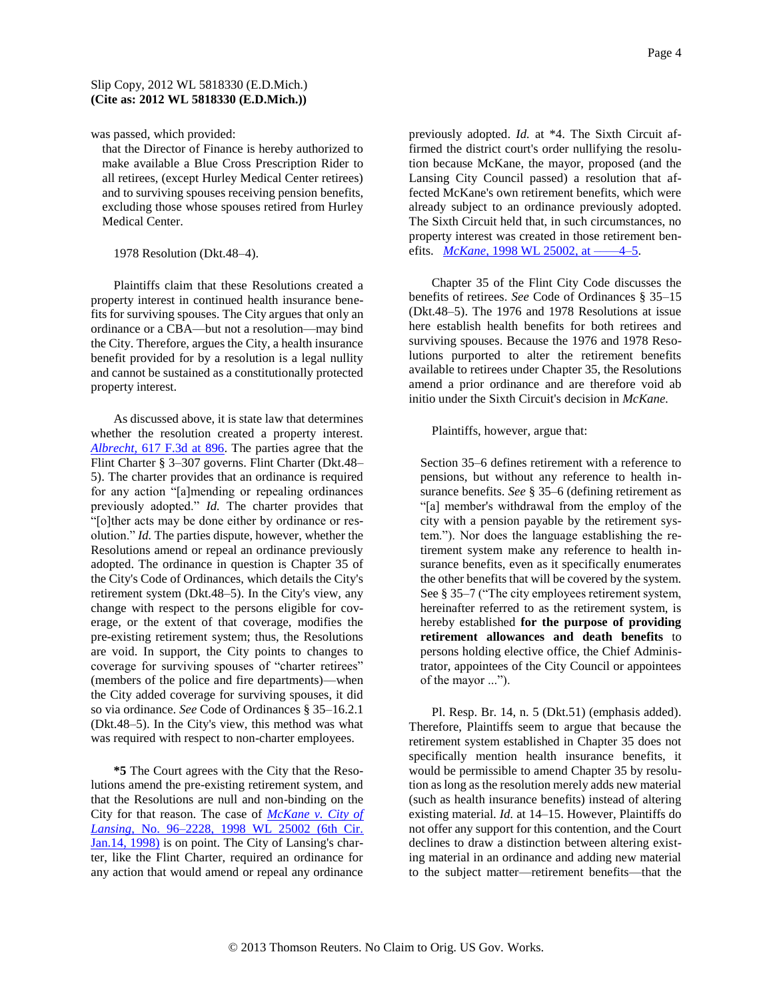was passed, which provided:

that the Director of Finance is hereby authorized to make available a Blue Cross Prescription Rider to all retirees, (except Hurley Medical Center retirees) and to surviving spouses receiving pension benefits, excluding those whose spouses retired from Hurley Medical Center.

### 1978 Resolution (Dkt.48–4).

Plaintiffs claim that these Resolutions created a property interest in continued health insurance benefits for surviving spouses. The City argues that only an ordinance or a CBA—but not a resolution—may bind the City. Therefore, argues the City, a health insurance benefit provided for by a resolution is a legal nullity and cannot be sustained as a constitutionally protected property interest.

As discussed above, it is state law that determines whether the resolution created a property interest. *[Albrecht,](http://www.westlaw.com/Find/Default.wl?rs=dfa1.0&vr=2.0&DB=506&FindType=Y&ReferencePositionType=S&SerialNum=2022830418&ReferencePosition=896)* [617 F.3d at 896.](http://www.westlaw.com/Find/Default.wl?rs=dfa1.0&vr=2.0&DB=506&FindType=Y&ReferencePositionType=S&SerialNum=2022830418&ReferencePosition=896) The parties agree that the Flint Charter § 3–307 governs. Flint Charter (Dkt.48– 5). The charter provides that an ordinance is required for any action "[a]mending or repealing ordinances previously adopted." *Id.* The charter provides that "[o]ther acts may be done either by ordinance or resolution." *Id.* The parties dispute, however, whether the Resolutions amend or repeal an ordinance previously adopted. The ordinance in question is Chapter 35 of the City's Code of Ordinances, which details the City's retirement system (Dkt.48–5). In the City's view, any change with respect to the persons eligible for coverage, or the extent of that coverage, modifies the pre-existing retirement system; thus, the Resolutions are void. In support, the City points to changes to coverage for surviving spouses of "charter retirees" (members of the police and fire departments)—when the City added coverage for surviving spouses, it did so via ordinance. *See* Code of Ordinances § 35–16.2.1 (Dkt.48–5). In the City's view, this method was what was required with respect to non-charter employees.

**\*5** The Court agrees with the City that the Resolutions amend the pre-existing retirement system, and that the Resolutions are null and non-binding on the City for that reason. The case of *[McKane v. City of](http://www.westlaw.com/Find/Default.wl?rs=dfa1.0&vr=2.0&DB=0000999&FindType=Y&SerialNum=1998039422)  [Lansing,](http://www.westlaw.com/Find/Default.wl?rs=dfa1.0&vr=2.0&DB=0000999&FindType=Y&SerialNum=1998039422)* [No. 96–2228, 1998 WL 25002 \(6th Cir.](http://www.westlaw.com/Find/Default.wl?rs=dfa1.0&vr=2.0&DB=0000999&FindType=Y&SerialNum=1998039422)  [Jan.14, 1998\)](http://www.westlaw.com/Find/Default.wl?rs=dfa1.0&vr=2.0&DB=0000999&FindType=Y&SerialNum=1998039422) is on point. The City of Lansing's charter, like the Flint Charter, required an ordinance for any action that would amend or repeal any ordinance

previously adopted. *Id.* at \*4. The Sixth Circuit affirmed the district court's order nullifying the resolution because McKane, the mayor, proposed (and the Lansing City Council passed) a resolution that affected McKane's own retirement benefits, which were already subject to an ordinance previously adopted. The Sixth Circuit held that, in such circumstances, no property interest was created in those retirement benefits. *McKane*, 1998 WL 25002, at -4-5.

Chapter 35 of the Flint City Code discusses the benefits of retirees. *See* Code of Ordinances § 35–15 (Dkt.48–5). The 1976 and 1978 Resolutions at issue here establish health benefits for both retirees and surviving spouses. Because the 1976 and 1978 Resolutions purported to alter the retirement benefits available to retirees under Chapter 35, the Resolutions amend a prior ordinance and are therefore void ab initio under the Sixth Circuit's decision in *McKane.*

Plaintiffs, however, argue that:

Section 35–6 defines retirement with a reference to pensions, but without any reference to health insurance benefits. *See* § 35–6 (defining retirement as "[a] member's withdrawal from the employ of the city with a pension payable by the retirement system."). Nor does the language establishing the retirement system make any reference to health insurance benefits, even as it specifically enumerates the other benefits that will be covered by the system. See § 35–7 ("The city employees retirement system, hereinafter referred to as the retirement system, is hereby established **for the purpose of providing retirement allowances and death benefits** to persons holding elective office, the Chief Administrator, appointees of the City Council or appointees of the mayor ...").

Pl. Resp. Br. 14, n. 5 (Dkt.51) (emphasis added). Therefore, Plaintiffs seem to argue that because the retirement system established in Chapter 35 does not specifically mention health insurance benefits, it would be permissible to amend Chapter 35 by resolution as long as the resolution merely adds new material (such as health insurance benefits) instead of altering existing material. *Id.* at 14–15. However, Plaintiffs do not offer any support for this contention, and the Court declines to draw a distinction between altering existing material in an ordinance and adding new material to the subject matter—retirement benefits—that the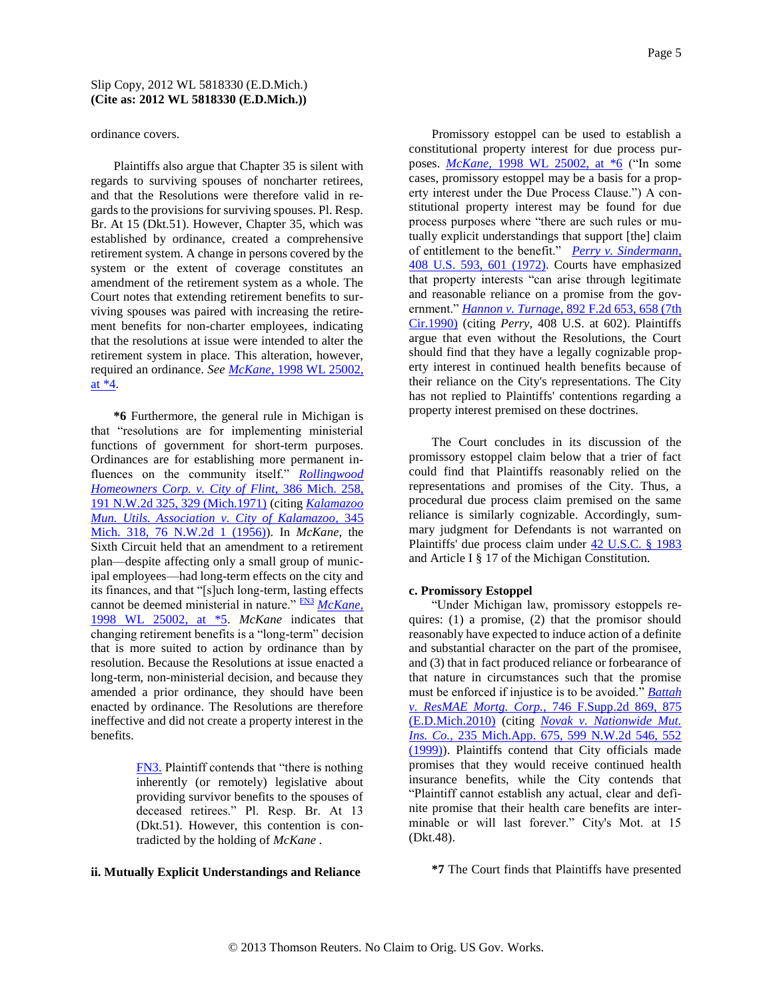ordinance covers.

Plaintiffs also argue that Chapter 35 is silent with regards to surviving spouses of noncharter retirees, and that the Resolutions were therefore valid in regards to the provisions for surviving spouses. Pl. Resp. Br. At 15 (Dkt.51). However, Chapter 35, which was established by ordinance, created a comprehensive retirement system. A change in persons covered by the system or the extent of coverage constitutes an amendment of the retirement system as a whole. The Court notes that extending retirement benefits to surviving spouses was paired with increasing the retirement benefits for non-charter employees, indicating that the resolutions at issue were intended to alter the retirement system in place. This alteration, however, required an ordinance. *See [McKane,](http://www.westlaw.com/Find/Default.wl?rs=dfa1.0&vr=2.0&DB=0000999&FindType=Y&SerialNum=1998039422)* [1998 WL 25002,](http://www.westlaw.com/Find/Default.wl?rs=dfa1.0&vr=2.0&DB=0000999&FindType=Y&SerialNum=1998039422)  at  $*4$ .

**\*6** Furthermore, the general rule in Michigan is that "resolutions are for implementing ministerial functions of government for short-term purposes. Ordinances are for establishing more permanent influences on the community itself." *[Rollingwood](http://www.westlaw.com/Find/Default.wl?rs=dfa1.0&vr=2.0&DB=595&FindType=Y&ReferencePositionType=S&SerialNum=1971118823&ReferencePosition=329)  [Homeowners Corp. v. City of Flint,](http://www.westlaw.com/Find/Default.wl?rs=dfa1.0&vr=2.0&DB=595&FindType=Y&ReferencePositionType=S&SerialNum=1971118823&ReferencePosition=329)* [386 Mich. 258,](http://www.westlaw.com/Find/Default.wl?rs=dfa1.0&vr=2.0&DB=595&FindType=Y&ReferencePositionType=S&SerialNum=1971118823&ReferencePosition=329)  [191 N.W.2d 325, 329 \(Mich.1971\)](http://www.westlaw.com/Find/Default.wl?rs=dfa1.0&vr=2.0&DB=595&FindType=Y&ReferencePositionType=S&SerialNum=1971118823&ReferencePosition=329) (citing *[Kalamazoo](http://www.westlaw.com/Find/Default.wl?rs=dfa1.0&vr=2.0&DB=595&FindType=Y&SerialNum=1956119413)  [Mun. Utils. Association v. City of Kalamazoo,](http://www.westlaw.com/Find/Default.wl?rs=dfa1.0&vr=2.0&DB=595&FindType=Y&SerialNum=1956119413)* [345](http://www.westlaw.com/Find/Default.wl?rs=dfa1.0&vr=2.0&DB=595&FindType=Y&SerialNum=1956119413)  [Mich. 318, 76 N.W.2d 1 \(1956\)\)](http://www.westlaw.com/Find/Default.wl?rs=dfa1.0&vr=2.0&DB=595&FindType=Y&SerialNum=1956119413). In *McKane,* the Sixth Circuit held that an amendment to a retirement plan—despite affecting only a small group of municipal employees—had long-term effects on the city and its finances, and that "[s]uch long-term, lasting effects cannot be deemed ministerial in nature." **[FN3](#page-4-0)** *McKane*, [1998 WL 25002, at \\*5.](http://www.westlaw.com/Find/Default.wl?rs=dfa1.0&vr=2.0&DB=0000999&FindType=Y&SerialNum=1998039422) *McKane* indicates that changing retirement benefits is a "long-term" decision that is more suited to action by ordinance than by resolution. Because the Resolutions at issue enacted a long-term, non-ministerial decision, and because they amended a prior ordinance, they should have been enacted by ordinance. The Resolutions are therefore ineffective and did not create a property interest in the benefits.

> <span id="page-4-0"></span>[FN3.](#page-4-1) Plaintiff contends that "there is nothing inherently (or remotely) legislative about providing survivor benefits to the spouses of deceased retirees." Pl. Resp. Br. At 13 (Dkt.51). However, this contention is contradicted by the holding of *McKane .*

Promissory estoppel can be used to establish a constitutional property interest for due process purposes. *[McKane,](http://www.westlaw.com/Find/Default.wl?rs=dfa1.0&vr=2.0&DB=0000999&FindType=Y&SerialNum=1998039422)* [1998 WL 25002, at \\*6](http://www.westlaw.com/Find/Default.wl?rs=dfa1.0&vr=2.0&DB=0000999&FindType=Y&SerialNum=1998039422) ("In some cases, promissory estoppel may be a basis for a property interest under the Due Process Clause.") A constitutional property interest may be found for due process purposes where "there are such rules or mutually explicit understandings that support [the] claim of entitlement to the benefit." *[Perry v. Sindermann,](http://www.westlaw.com/Find/Default.wl?rs=dfa1.0&vr=2.0&DB=780&DocName=408US593&FindType=Y&ReferencePositionType=S&ReferencePosition=601)* [408 U.S. 593, 601 \(1972\).](http://www.westlaw.com/Find/Default.wl?rs=dfa1.0&vr=2.0&DB=780&DocName=408US593&FindType=Y&ReferencePositionType=S&ReferencePosition=601) Courts have emphasized that property interests "can arise through legitimate and reasonable reliance on a promise from the government." *[Hannon v. Turnage,](http://www.westlaw.com/Find/Default.wl?rs=dfa1.0&vr=2.0&DB=350&FindType=Y&ReferencePositionType=S&SerialNum=1990017239&ReferencePosition=658)* [892 F.2d 653, 658 \(7th](http://www.westlaw.com/Find/Default.wl?rs=dfa1.0&vr=2.0&DB=350&FindType=Y&ReferencePositionType=S&SerialNum=1990017239&ReferencePosition=658)  [Cir.1990\)](http://www.westlaw.com/Find/Default.wl?rs=dfa1.0&vr=2.0&DB=350&FindType=Y&ReferencePositionType=S&SerialNum=1990017239&ReferencePosition=658) (citing *Perry,* 408 U.S. at 602). Plaintiffs argue that even without the Resolutions, the Court should find that they have a legally cognizable property interest in continued health benefits because of their reliance on the City's representations. The City has not replied to Plaintiffs' contentions regarding a property interest premised on these doctrines.

The Court concludes in its discussion of the promissory estoppel claim below that a trier of fact could find that Plaintiffs reasonably relied on the representations and promises of the City. Thus, a procedural due process claim premised on the same reliance is similarly cognizable. Accordingly, summary judgment for Defendants is not warranted on Plaintiffs' due process claim under [42 U.S.C. § 1983](http://www.westlaw.com/Find/Default.wl?rs=dfa1.0&vr=2.0&DB=1000546&DocName=42USCAS1983&FindType=L) and Article I § 17 of the Michigan Constitution.

## **c. Promissory Estoppel**

<span id="page-4-1"></span>"Under Michigan law, promissory estoppels requires: (1) a promise, (2) that the promisor should reasonably have expected to induce action of a definite and substantial character on the part of the promisee, and (3) that in fact produced reliance or forbearance of that nature in circumstances such that the promise must be enforced if injustice is to be avoided." *[Battah](http://www.westlaw.com/Find/Default.wl?rs=dfa1.0&vr=2.0&DB=4637&FindType=Y&ReferencePositionType=S&SerialNum=2023550495&ReferencePosition=875)  [v. ResMAE Mortg. Corp.,](http://www.westlaw.com/Find/Default.wl?rs=dfa1.0&vr=2.0&DB=4637&FindType=Y&ReferencePositionType=S&SerialNum=2023550495&ReferencePosition=875)* [746 F.Supp.2d 869, 875](http://www.westlaw.com/Find/Default.wl?rs=dfa1.0&vr=2.0&DB=4637&FindType=Y&ReferencePositionType=S&SerialNum=2023550495&ReferencePosition=875)  [\(E.D.Mich.2010\)](http://www.westlaw.com/Find/Default.wl?rs=dfa1.0&vr=2.0&DB=4637&FindType=Y&ReferencePositionType=S&SerialNum=2023550495&ReferencePosition=875) (citing *[Novak v. Nationwide Mut.](http://www.westlaw.com/Find/Default.wl?rs=dfa1.0&vr=2.0&DB=595&FindType=Y&ReferencePositionType=S&SerialNum=1999214212&ReferencePosition=552)  [Ins. Co.,](http://www.westlaw.com/Find/Default.wl?rs=dfa1.0&vr=2.0&DB=595&FindType=Y&ReferencePositionType=S&SerialNum=1999214212&ReferencePosition=552)* [235 Mich.App. 675, 599 N.W.2d 546, 552](http://www.westlaw.com/Find/Default.wl?rs=dfa1.0&vr=2.0&DB=595&FindType=Y&ReferencePositionType=S&SerialNum=1999214212&ReferencePosition=552)  [\(1999\)\)](http://www.westlaw.com/Find/Default.wl?rs=dfa1.0&vr=2.0&DB=595&FindType=Y&ReferencePositionType=S&SerialNum=1999214212&ReferencePosition=552). Plaintiffs contend that City officials made promises that they would receive continued health insurance benefits, while the City contends that "Plaintiff cannot establish any actual, clear and definite promise that their health care benefits are interminable or will last forever." City's Mot. at 15 (Dkt.48).

### **ii. Mutually Explicit Understandings and Reliance**

**\*7** The Court finds that Plaintiffs have presented